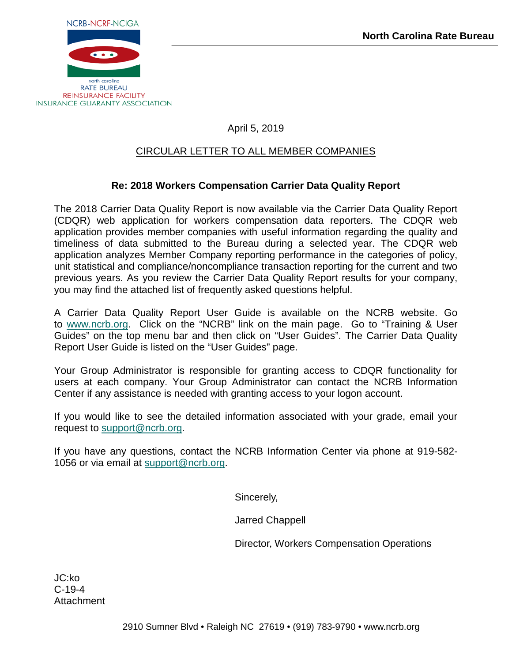

# April 5, 2019

## CIRCULAR LETTER TO ALL MEMBER COMPANIES

### **Re: 2018 Workers Compensation Carrier Data Quality Report**

The 2018 Carrier Data Quality Report is now available via the Carrier Data Quality Report (CDQR) web application for workers compensation data reporters. The CDQR web application provides member companies with useful information regarding the quality and timeliness of data submitted to the Bureau during a selected year. The CDQR web application analyzes Member Company reporting performance in the categories of policy, unit statistical and compliance/noncompliance transaction reporting for the current and two previous years. As you review the Carrier Data Quality Report results for your company, you may find the attached list of frequently asked questions helpful.

A Carrier Data Quality Report User Guide is available on the NCRB website. Go to [www.ncrb.org.](http://www.ncrb.org/) Click on the "NCRB" link on the main page. Go to "Training & User Guides" on the top menu bar and then click on "User Guides". The Carrier Data Quality Report User Guide is listed on the "User Guides" page.

Your Group Administrator is responsible for granting access to CDQR functionality for users at each company. Your Group Administrator can contact the NCRB Information Center if any assistance is needed with granting access to your logon account.

If you would like to see the detailed information associated with your grade, email your request to [support@ncrb.org.](mailto:support@ncrb.org)

If you have any questions, contact the NCRB Information Center via phone at 919-582- 1056 or via email at [support@ncrb.org.](mailto:support@ncrb.org)

Sincerely,

Jarred Chappell

Director, Workers Compensation Operations

JC:ko C-19-4 Attachment